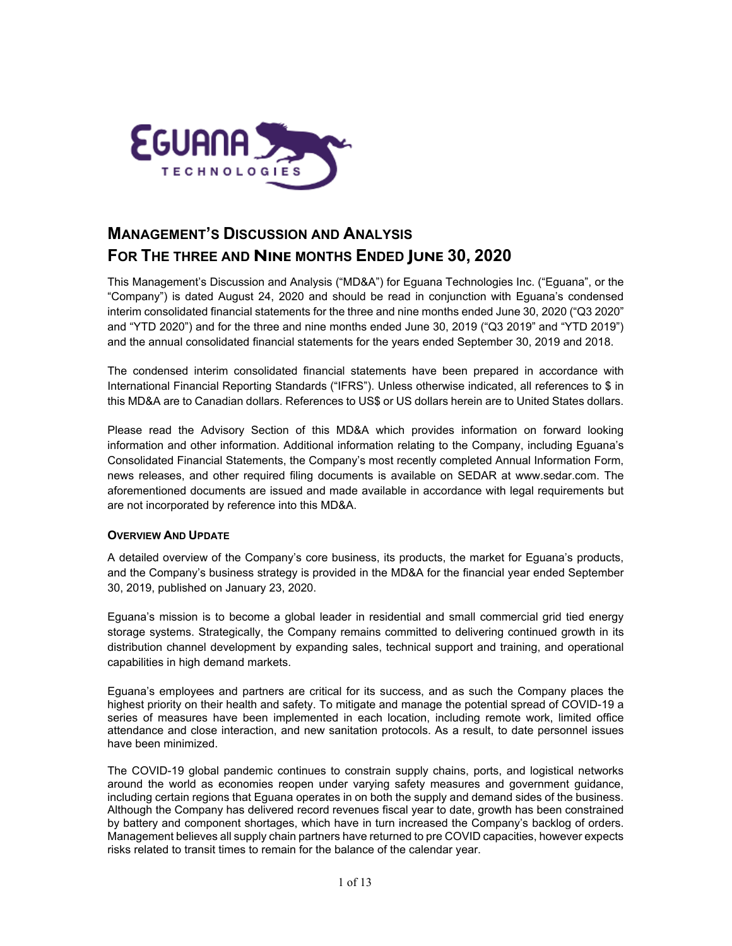

# **MANAGEMENT'S DISCUSSION AND ANALYSIS FOR THE THREE AND NINE MONTHS ENDED JUNE 30, 2020**

This Management's Discussion and Analysis ("MD&A") for Eguana Technologies Inc. ("Eguana", or the "Company") is dated August 24, 2020 and should be read in conjunction with Eguana's condensed interim consolidated financial statements for the three and nine months ended June 30, 2020 ("Q3 2020" and "YTD 2020") and for the three and nine months ended June 30, 2019 ("Q3 2019" and "YTD 2019") and the annual consolidated financial statements for the years ended September 30, 2019 and 2018.

The condensed interim consolidated financial statements have been prepared in accordance with International Financial Reporting Standards ("IFRS"). Unless otherwise indicated, all references to \$ in this MD&A are to Canadian dollars. References to US\$ or US dollars herein are to United States dollars.

Please read the Advisory Section of this MD&A which provides information on forward looking information and other information. Additional information relating to the Company, including Eguana's Consolidated Financial Statements, the Company's most recently completed Annual Information Form, news releases, and other required filing documents is available on SEDAR at www.sedar.com. The aforementioned documents are issued and made available in accordance with legal requirements but are not incorporated by reference into this MD&A.

# **OVERVIEW AND UPDATE**

A detailed overview of the Company's core business, its products, the market for Eguana's products, and the Company's business strategy is provided in the MD&A for the financial year ended September 30, 2019, published on January 23, 2020.

Eguana's mission is to become a global leader in residential and small commercial grid tied energy storage systems. Strategically, the Company remains committed to delivering continued growth in its distribution channel development by expanding sales, technical support and training, and operational capabilities in high demand markets.

Eguana's employees and partners are critical for its success, and as such the Company places the highest priority on their health and safety. To mitigate and manage the potential spread of COVID-19 a series of measures have been implemented in each location, including remote work, limited office attendance and close interaction, and new sanitation protocols. As a result, to date personnel issues have been minimized.

The COVID-19 global pandemic continues to constrain supply chains, ports, and logistical networks around the world as economies reopen under varying safety measures and government guidance, including certain regions that Eguana operates in on both the supply and demand sides of the business. Although the Company has delivered record revenues fiscal year to date, growth has been constrained by battery and component shortages, which have in turn increased the Company's backlog of orders. Management believes all supply chain partners have returned to pre COVID capacities, however expects risks related to transit times to remain for the balance of the calendar year.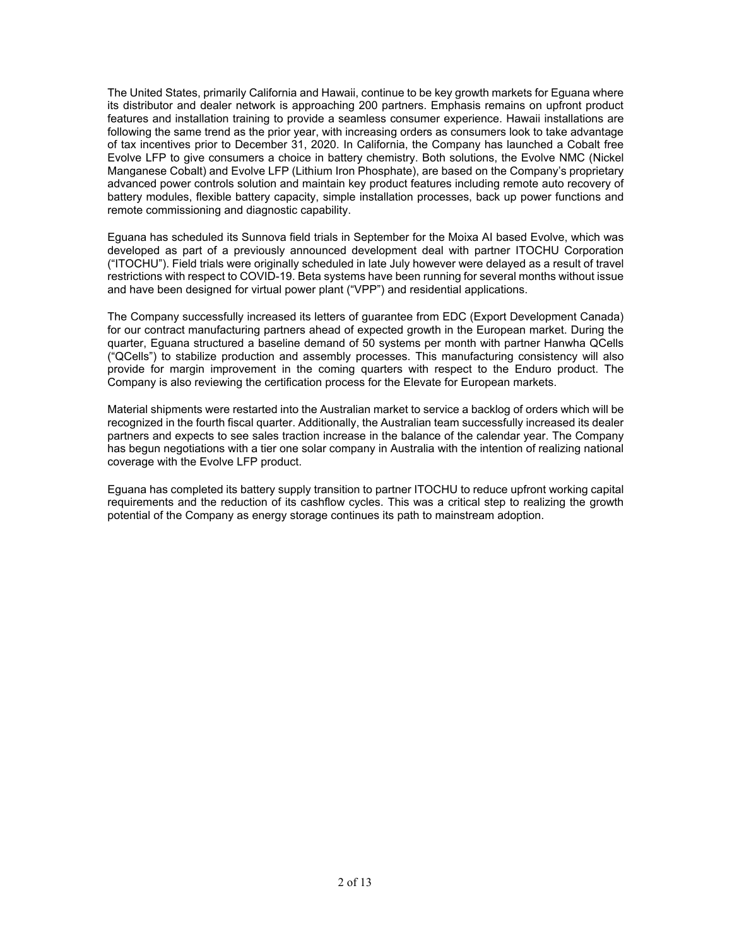The United States, primarily California and Hawaii, continue to be key growth markets for Eguana where its distributor and dealer network is approaching 200 partners. Emphasis remains on upfront product features and installation training to provide a seamless consumer experience. Hawaii installations are following the same trend as the prior year, with increasing orders as consumers look to take advantage of tax incentives prior to December 31, 2020. In California, the Company has launched a Cobalt free Evolve LFP to give consumers a choice in battery chemistry. Both solutions, the Evolve NMC (Nickel Manganese Cobalt) and Evolve LFP (Lithium Iron Phosphate), are based on the Company's proprietary advanced power controls solution and maintain key product features including remote auto recovery of battery modules, flexible battery capacity, simple installation processes, back up power functions and remote commissioning and diagnostic capability.

Eguana has scheduled its Sunnova field trials in September for the Moixa AI based Evolve, which was developed as part of a previously announced development deal with partner ITOCHU Corporation ("ITOCHU"). Field trials were originally scheduled in late July however were delayed as a result of travel restrictions with respect to COVID-19. Beta systems have been running for several months without issue and have been designed for virtual power plant ("VPP") and residential applications.

The Company successfully increased its letters of guarantee from EDC (Export Development Canada) for our contract manufacturing partners ahead of expected growth in the European market. During the quarter, Eguana structured a baseline demand of 50 systems per month with partner Hanwha QCells ("QCells") to stabilize production and assembly processes. This manufacturing consistency will also provide for margin improvement in the coming quarters with respect to the Enduro product. The Company is also reviewing the certification process for the Elevate for European markets.

Material shipments were restarted into the Australian market to service a backlog of orders which will be recognized in the fourth fiscal quarter. Additionally, the Australian team successfully increased its dealer partners and expects to see sales traction increase in the balance of the calendar year. The Company has begun negotiations with a tier one solar company in Australia with the intention of realizing national coverage with the Evolve LFP product.

Eguana has completed its battery supply transition to partner ITOCHU to reduce upfront working capital requirements and the reduction of its cashflow cycles. This was a critical step to realizing the growth potential of the Company as energy storage continues its path to mainstream adoption.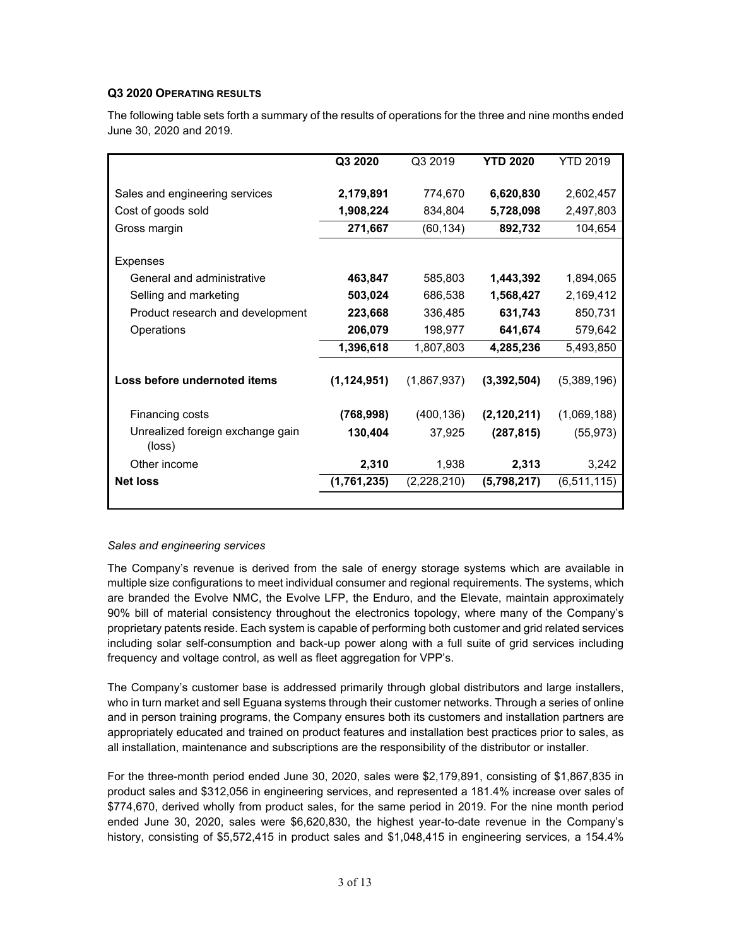## **Q3 2020 OPERATING RESULTS**

The following table sets forth a summary of the results of operations for the three and nine months ended June 30, 2020 and 2019.

|                                  | Q3 2020       | Q3 2019     | <b>YTD 2020</b> | YTD 2019    |
|----------------------------------|---------------|-------------|-----------------|-------------|
|                                  |               |             |                 |             |
| Sales and engineering services   | 2,179,891     | 774,670     | 6,620,830       | 2,602,457   |
| Cost of goods sold               | 1,908,224     | 834,804     | 5,728,098       | 2,497,803   |
| Gross margin                     | 271,667       | (60, 134)   | 892,732         | 104,654     |
|                                  |               |             |                 |             |
| Expenses                         |               |             |                 |             |
| General and administrative       | 463,847       | 585,803     | 1,443,392       | 1,894,065   |
| Selling and marketing            | 503,024       | 686,538     | 1,568,427       | 2,169,412   |
| Product research and development | 223,668       | 336,485     | 631,743         | 850,731     |
| Operations                       | 206,079       | 198,977     | 641,674         | 579,642     |
|                                  | 1,396,618     | 1,807,803   | 4,285,236       | 5,493,850   |
|                                  |               |             |                 |             |
| Loss before undernoted items     | (1, 124, 951) | (1,867,937) | (3,392,504)     | (5,389,196) |
|                                  |               |             |                 |             |
| Financing costs                  | (768, 998)    | (400, 136)  | (2, 120, 211)   | (1,069,188) |
| Unrealized foreign exchange gain | 130,404       | 37,925      | (287, 815)      | (55, 973)   |
| (loss)                           |               |             |                 |             |
| Other income                     | 2,310         | 1,938       | 2,313           | 3,242       |
| <b>Net loss</b>                  | (1,761,235)   | (2,228,210) | (5,798,217)     | (6,511,115) |
|                                  |               |             |                 |             |

#### *Sales and engineering services*

The Company's revenue is derived from the sale of energy storage systems which are available in multiple size configurations to meet individual consumer and regional requirements. The systems, which are branded the Evolve NMC, the Evolve LFP, the Enduro, and the Elevate, maintain approximately 90% bill of material consistency throughout the electronics topology, where many of the Company's proprietary patents reside. Each system is capable of performing both customer and grid related services including solar self-consumption and back-up power along with a full suite of grid services including frequency and voltage control, as well as fleet aggregation for VPP's.

The Company's customer base is addressed primarily through global distributors and large installers, who in turn market and sell Eguana systems through their customer networks. Through a series of online and in person training programs, the Company ensures both its customers and installation partners are appropriately educated and trained on product features and installation best practices prior to sales, as all installation, maintenance and subscriptions are the responsibility of the distributor or installer.

For the three-month period ended June 30, 2020, sales were \$2,179,891, consisting of \$1,867,835 in product sales and \$312,056 in engineering services, and represented a 181.4% increase over sales of \$774,670, derived wholly from product sales, for the same period in 2019. For the nine month period ended June 30, 2020, sales were \$6,620,830, the highest year-to-date revenue in the Company's history, consisting of \$5,572,415 in product sales and \$1,048,415 in engineering services, a 154.4%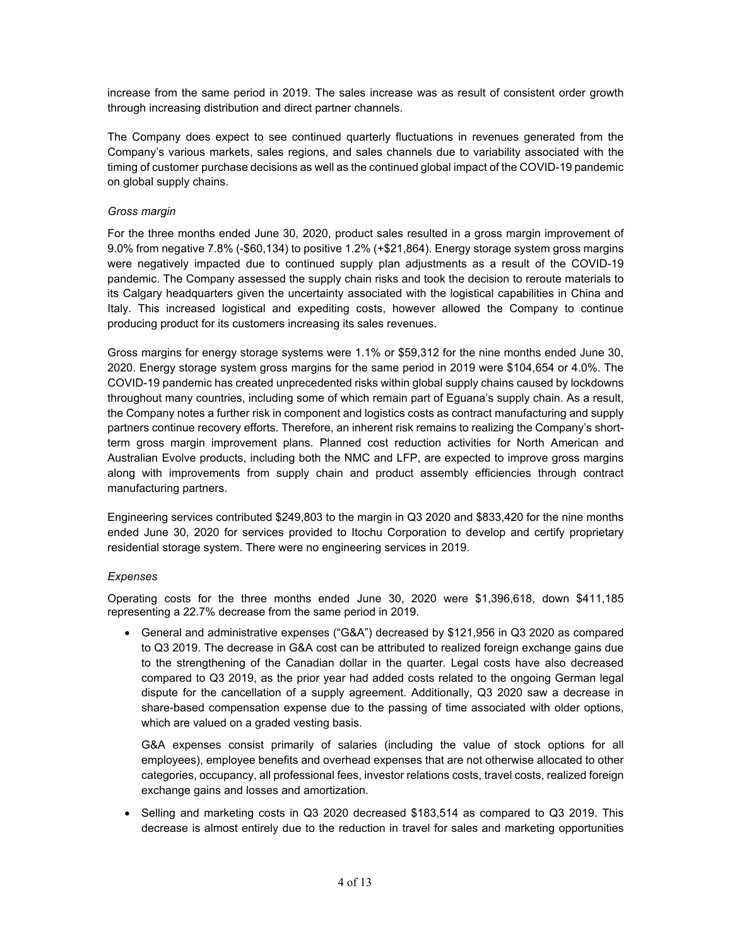increase from the same period in 2019. The sales increase was as result of consistent order growth through increasing distribution and direct partner channels.

The Company does expect to see continued quarterly fluctuations in revenues generated from the Company's various markets, sales regions, and sales channels due to variability associated with the timing of customer purchase decisions as well as the continued global impact of the COVID-19 pandemic on global supply chains.

### *Gross margin*

For the three months ended June 30, 2020, product sales resulted in a gross margin improvement of 9.0% from negative 7.8% (-\$60,134) to positive 1.2% (+\$21,864). Energy storage system gross margins were negatively impacted due to continued supply plan adjustments as a result of the COVID-19 pandemic. The Company assessed the supply chain risks and took the decision to reroute materials to its Calgary headquarters given the uncertainty associated with the logistical capabilities in China and Italy. This increased logistical and expediting costs, however allowed the Company to continue producing product for its customers increasing its sales revenues.

Gross margins for energy storage systems were 1.1% or \$59,312 for the nine months ended June 30, 2020. Energy storage system gross margins for the same period in 2019 were \$104,654 or 4.0%. The COVID-19 pandemic has created unprecedented risks within global supply chains caused by lockdowns throughout many countries, including some of which remain part of Eguana's supply chain. As a result, the Company notes a further risk in component and logistics costs as contract manufacturing and supply partners continue recovery efforts. Therefore, an inherent risk remains to realizing the Company's shortterm gross margin improvement plans. Planned cost reduction activities for North American and Australian Evolve products, including both the NMC and LFP, are expected to improve gross margins along with improvements from supply chain and product assembly efficiencies through contract manufacturing partners.

Engineering services contributed \$249,803 to the margin in Q3 2020 and \$833,420 for the nine months ended June 30, 2020 for services provided to Itochu Corporation to develop and certify proprietary residential storage system. There were no engineering services in 2019.

#### *Expenses*

Operating costs for the three months ended June 30, 2020 were \$1,396,618, down \$411,185 representing a 22.7% decrease from the same period in 2019.

 General and administrative expenses ("G&A") decreased by \$121,956 in Q3 2020 as compared to Q3 2019. The decrease in G&A cost can be attributed to realized foreign exchange gains due to the strengthening of the Canadian dollar in the quarter. Legal costs have also decreased compared to Q3 2019, as the prior year had added costs related to the ongoing German legal dispute for the cancellation of a supply agreement. Additionally, Q3 2020 saw a decrease in share-based compensation expense due to the passing of time associated with older options, which are valued on a graded vesting basis.

G&A expenses consist primarily of salaries (including the value of stock options for all employees), employee benefits and overhead expenses that are not otherwise allocated to other categories, occupancy, all professional fees, investor relations costs, travel costs, realized foreign exchange gains and losses and amortization.

• Selling and marketing costs in Q3 2020 decreased \$183,514 as compared to Q3 2019. This decrease is almost entirely due to the reduction in travel for sales and marketing opportunities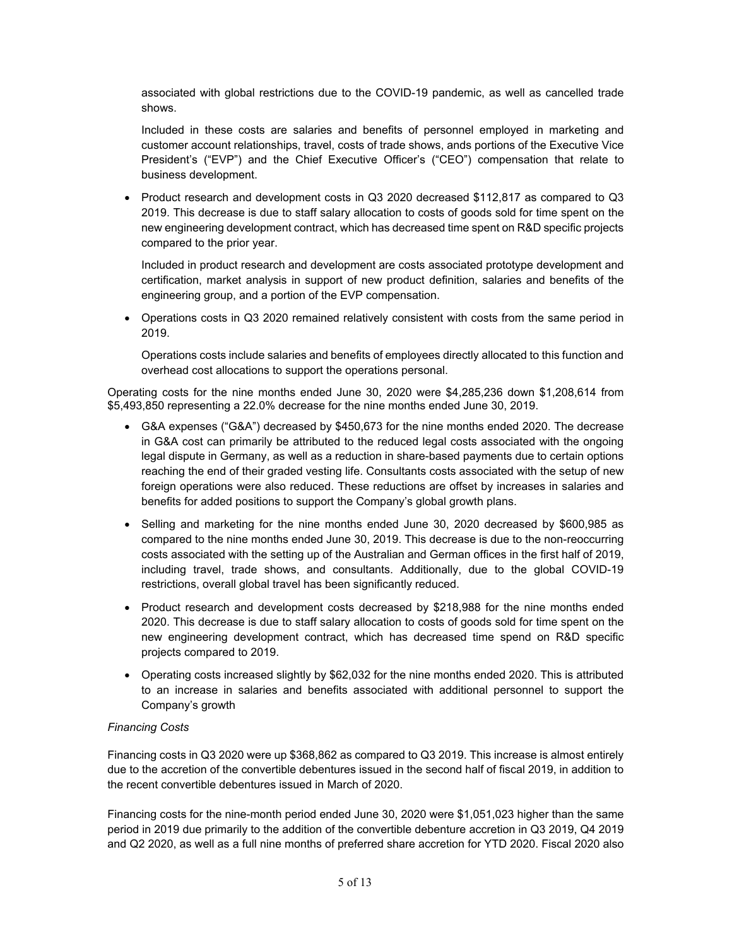associated with global restrictions due to the COVID-19 pandemic, as well as cancelled trade shows.

Included in these costs are salaries and benefits of personnel employed in marketing and customer account relationships, travel, costs of trade shows, ands portions of the Executive Vice President's ("EVP") and the Chief Executive Officer's ("CEO") compensation that relate to business development.

• Product research and development costs in  $Q3$  2020 decreased \$112,817 as compared to  $Q3$ 2019. This decrease is due to staff salary allocation to costs of goods sold for time spent on the new engineering development contract, which has decreased time spent on R&D specific projects compared to the prior year.

Included in product research and development are costs associated prototype development and certification, market analysis in support of new product definition, salaries and benefits of the engineering group, and a portion of the EVP compensation.

 Operations costs in Q3 2020 remained relatively consistent with costs from the same period in 2019.

Operations costs include salaries and benefits of employees directly allocated to this function and overhead cost allocations to support the operations personal.

Operating costs for the nine months ended June 30, 2020 were \$4,285,236 down \$1,208,614 from \$5,493,850 representing a 22.0% decrease for the nine months ended June 30, 2019.

- G&A expenses ("G&A") decreased by \$450,673 for the nine months ended 2020. The decrease in G&A cost can primarily be attributed to the reduced legal costs associated with the ongoing legal dispute in Germany, as well as a reduction in share-based payments due to certain options reaching the end of their graded vesting life. Consultants costs associated with the setup of new foreign operations were also reduced. These reductions are offset by increases in salaries and benefits for added positions to support the Company's global growth plans.
- $\bullet$  Selling and marketing for the nine months ended June 30, 2020 decreased by \$600,985 as compared to the nine months ended June 30, 2019. This decrease is due to the non-reoccurring costs associated with the setting up of the Australian and German offices in the first half of 2019, including travel, trade shows, and consultants. Additionally, due to the global COVID-19 restrictions, overall global travel has been significantly reduced.
- Product research and development costs decreased by \$218,988 for the nine months ended 2020. This decrease is due to staff salary allocation to costs of goods sold for time spent on the new engineering development contract, which has decreased time spend on R&D specific projects compared to 2019.
- Operating costs increased slightly by \$62,032 for the nine months ended 2020. This is attributed to an increase in salaries and benefits associated with additional personnel to support the Company's growth

#### *Financing Costs*

Financing costs in Q3 2020 were up \$368,862 as compared to Q3 2019. This increase is almost entirely due to the accretion of the convertible debentures issued in the second half of fiscal 2019, in addition to the recent convertible debentures issued in March of 2020.

Financing costs for the nine-month period ended June 30, 2020 were \$1,051,023 higher than the same period in 2019 due primarily to the addition of the convertible debenture accretion in Q3 2019, Q4 2019 and Q2 2020, as well as a full nine months of preferred share accretion for YTD 2020. Fiscal 2020 also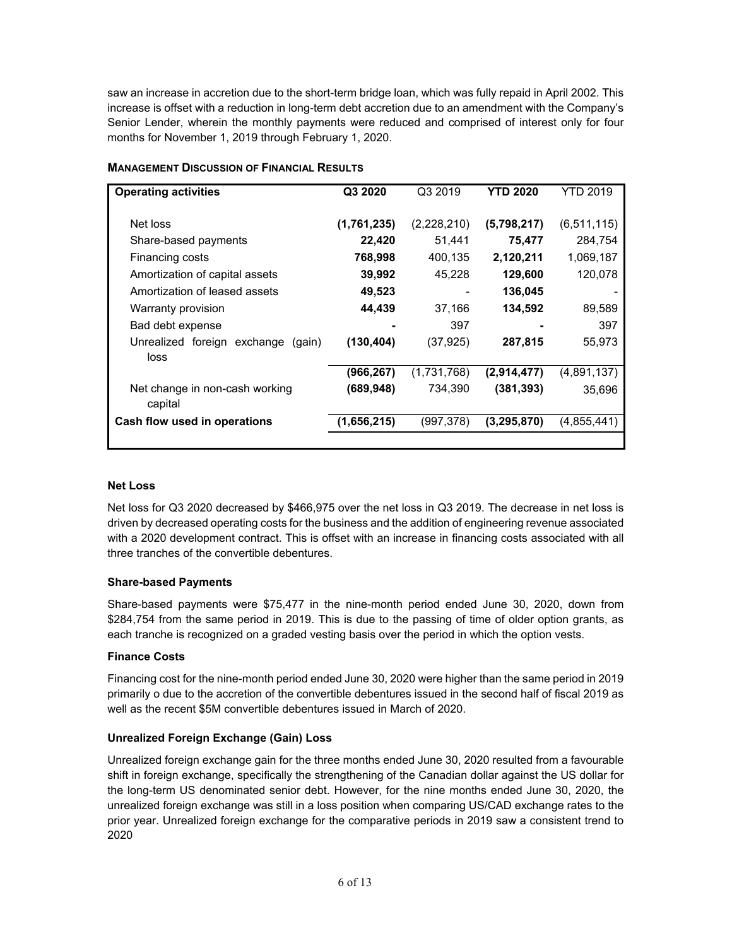saw an increase in accretion due to the short-term bridge loan, which was fully repaid in April 2002. This increase is offset with a reduction in long-term debt accretion due to an amendment with the Company's Senior Lender, wherein the monthly payments were reduced and comprised of interest only for four months for November 1, 2019 through February 1, 2020.

| <b>Operating activities</b>                   | Q3 2020     | Q3 2019     | <b>YTD 2020</b> | YTD 2019      |
|-----------------------------------------------|-------------|-------------|-----------------|---------------|
| Net loss                                      | (1,761,235) | (2,228,210) | (5,798,217)     | (6, 511, 115) |
| Share-based payments                          | 22,420      | 51,441      | 75,477          | 284,754       |
| Financing costs                               | 768,998     | 400,135     | 2,120,211       | 1,069,187     |
| Amortization of capital assets                | 39,992      | 45,228      | 129,600         | 120,078       |
| Amortization of leased assets                 | 49,523      |             | 136,045         |               |
| Warranty provision                            | 44,439      | 37,166      | 134,592         | 89,589        |
| Bad debt expense                              |             | 397         |                 | 397           |
| Unrealized foreign exchange<br>(gain)<br>loss | (130, 404)  | (37,925)    | 287,815         | 55,973        |
|                                               | (966,267)   | (1,731,768) | (2,914,477)     | (4,891,137)   |
| Net change in non-cash working<br>capital     | (689, 948)  | 734.390     | (381, 393)      | 35,696        |
| Cash flow used in operations                  | (1,656,215) | (997,378)   | (3, 295, 870)   | (4,855,441)   |
|                                               |             |             |                 |               |

# **MANAGEMENT DISCUSSION OF FINANCIAL RESULTS**

#### **Net Loss**

Net loss for Q3 2020 decreased by \$466,975 over the net loss in Q3 2019. The decrease in net loss is driven by decreased operating costs for the business and the addition of engineering revenue associated with a 2020 development contract. This is offset with an increase in financing costs associated with all three tranches of the convertible debentures.

#### **Share-based Payments**

Share-based payments were \$75,477 in the nine-month period ended June 30, 2020, down from \$284,754 from the same period in 2019. This is due to the passing of time of older option grants, as each tranche is recognized on a graded vesting basis over the period in which the option vests.

#### **Finance Costs**

Financing cost for the nine-month period ended June 30, 2020 were higher than the same period in 2019 primarily o due to the accretion of the convertible debentures issued in the second half of fiscal 2019 as well as the recent \$5M convertible debentures issued in March of 2020.

# **Unrealized Foreign Exchange (Gain) Loss**

Unrealized foreign exchange gain for the three months ended June 30, 2020 resulted from a favourable shift in foreign exchange, specifically the strengthening of the Canadian dollar against the US dollar for the long-term US denominated senior debt. However, for the nine months ended June 30, 2020, the unrealized foreign exchange was still in a loss position when comparing US/CAD exchange rates to the prior year. Unrealized foreign exchange for the comparative periods in 2019 saw a consistent trend to 2020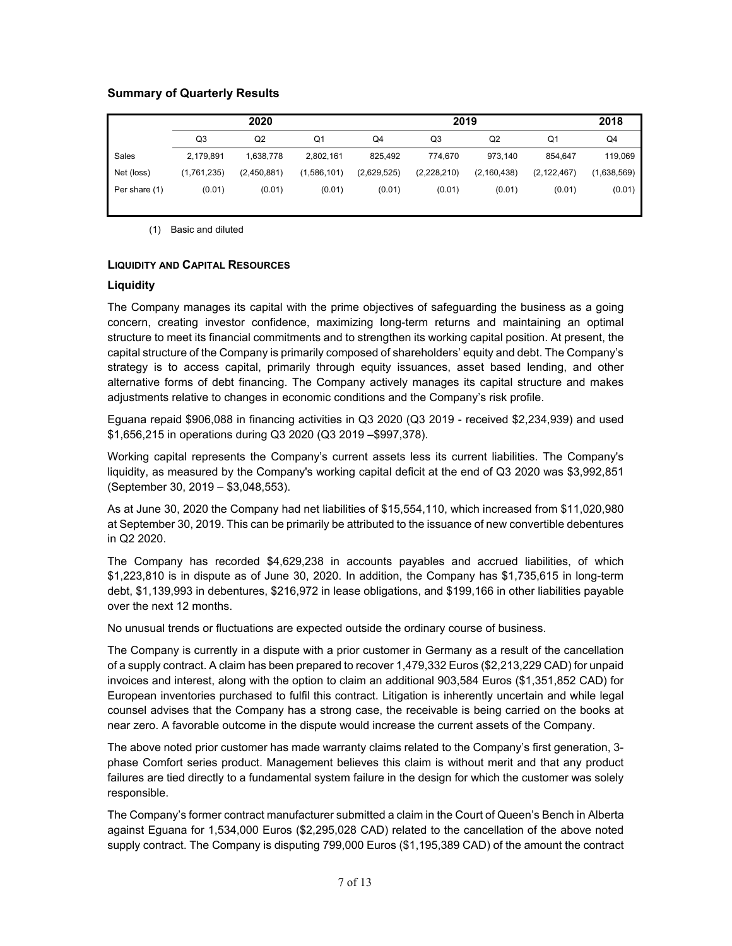# **Summary of Quarterly Results**

|               | 2020        |             |                | 2019        |             |                |               | 2018           |
|---------------|-------------|-------------|----------------|-------------|-------------|----------------|---------------|----------------|
|               | Q3          | Q2          | Q <sub>1</sub> | Q4          | Q3          | Q <sub>2</sub> | Q1            | Q <sub>4</sub> |
| Sales         | 2.179.891   | 1.638.778   | 2,802,161      | 825.492     | 774.670     | 973.140        | 854.647       | 119.069        |
| Net (loss)    | (1,761,235) | (2,450,881) | (1,586,101)    | (2,629,525) | (2,228,210) | (2, 160, 438)  | (2, 122, 467) | (1,638,569)    |
| Per share (1) | (0.01)      | (0.01)      | (0.01)         | (0.01)      | (0.01)      | (0.01)         | (0.01)        | (0.01)         |

(1) Basic and diluted

#### **LIQUIDITY AND CAPITAL RESOURCES**

#### **Liquidity**

The Company manages its capital with the prime objectives of safeguarding the business as a going concern, creating investor confidence, maximizing long-term returns and maintaining an optimal structure to meet its financial commitments and to strengthen its working capital position. At present, the capital structure of the Company is primarily composed of shareholders' equity and debt. The Company's strategy is to access capital, primarily through equity issuances, asset based lending, and other alternative forms of debt financing. The Company actively manages its capital structure and makes adjustments relative to changes in economic conditions and the Company's risk profile.

Eguana repaid \$906,088 in financing activities in Q3 2020 (Q3 2019 - received \$2,234,939) and used \$1,656,215 in operations during Q3 2020 (Q3 2019 –\$997,378).

Working capital represents the Company's current assets less its current liabilities. The Company's liquidity, as measured by the Company's working capital deficit at the end of Q3 2020 was \$3,992,851 (September 30, 2019 – \$3,048,553).

As at June 30, 2020 the Company had net liabilities of \$15,554,110, which increased from \$11,020,980 at September 30, 2019. This can be primarily be attributed to the issuance of new convertible debentures in Q2 2020.

The Company has recorded \$4,629,238 in accounts payables and accrued liabilities, of which \$1,223,810 is in dispute as of June 30, 2020. In addition, the Company has \$1,735,615 in long-term debt, \$1,139,993 in debentures, \$216,972 in lease obligations, and \$199,166 in other liabilities payable over the next 12 months.

No unusual trends or fluctuations are expected outside the ordinary course of business.

The Company is currently in a dispute with a prior customer in Germany as a result of the cancellation of a supply contract. A claim has been prepared to recover 1,479,332 Euros (\$2,213,229 CAD) for unpaid invoices and interest, along with the option to claim an additional 903,584 Euros (\$1,351,852 CAD) for European inventories purchased to fulfil this contract. Litigation is inherently uncertain and while legal counsel advises that the Company has a strong case, the receivable is being carried on the books at near zero. A favorable outcome in the dispute would increase the current assets of the Company.

The above noted prior customer has made warranty claims related to the Company's first generation, 3 phase Comfort series product. Management believes this claim is without merit and that any product failures are tied directly to a fundamental system failure in the design for which the customer was solely responsible.

The Company's former contract manufacturer submitted a claim in the Court of Queen's Bench in Alberta against Eguana for 1,534,000 Euros (\$2,295,028 CAD) related to the cancellation of the above noted supply contract. The Company is disputing 799,000 Euros (\$1,195,389 CAD) of the amount the contract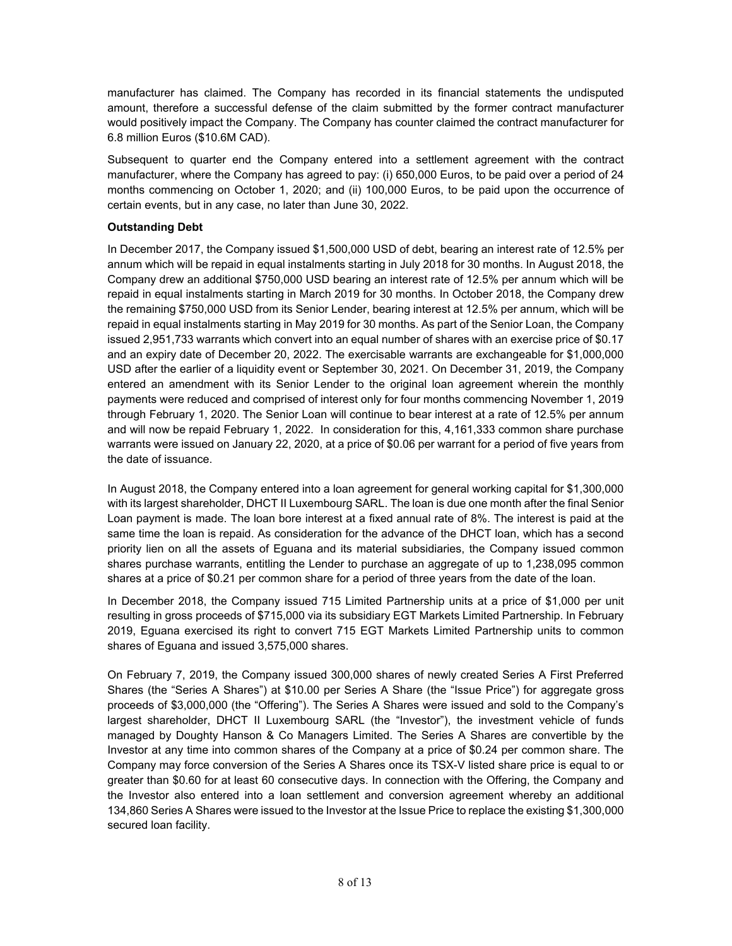manufacturer has claimed. The Company has recorded in its financial statements the undisputed amount, therefore a successful defense of the claim submitted by the former contract manufacturer would positively impact the Company. The Company has counter claimed the contract manufacturer for 6.8 million Euros (\$10.6M CAD).

Subsequent to quarter end the Company entered into a settlement agreement with the contract manufacturer, where the Company has agreed to pay: (i) 650,000 Euros, to be paid over a period of 24 months commencing on October 1, 2020; and (ii) 100,000 Euros, to be paid upon the occurrence of certain events, but in any case, no later than June 30, 2022.

# **Outstanding Debt**

In December 2017, the Company issued \$1,500,000 USD of debt, bearing an interest rate of 12.5% per annum which will be repaid in equal instalments starting in July 2018 for 30 months. In August 2018, the Company drew an additional \$750,000 USD bearing an interest rate of 12.5% per annum which will be repaid in equal instalments starting in March 2019 for 30 months. In October 2018, the Company drew the remaining \$750,000 USD from its Senior Lender, bearing interest at 12.5% per annum, which will be repaid in equal instalments starting in May 2019 for 30 months. As part of the Senior Loan, the Company issued 2,951,733 warrants which convert into an equal number of shares with an exercise price of \$0.17 and an expiry date of December 20, 2022. The exercisable warrants are exchangeable for \$1,000,000 USD after the earlier of a liquidity event or September 30, 2021. On December 31, 2019, the Company entered an amendment with its Senior Lender to the original loan agreement wherein the monthly payments were reduced and comprised of interest only for four months commencing November 1, 2019 through February 1, 2020. The Senior Loan will continue to bear interest at a rate of 12.5% per annum and will now be repaid February 1, 2022. In consideration for this, 4,161,333 common share purchase warrants were issued on January 22, 2020, at a price of \$0.06 per warrant for a period of five years from the date of issuance.

In August 2018, the Company entered into a loan agreement for general working capital for \$1,300,000 with its largest shareholder, DHCT II Luxembourg SARL. The loan is due one month after the final Senior Loan payment is made. The loan bore interest at a fixed annual rate of 8%. The interest is paid at the same time the loan is repaid. As consideration for the advance of the DHCT loan, which has a second priority lien on all the assets of Eguana and its material subsidiaries, the Company issued common shares purchase warrants, entitling the Lender to purchase an aggregate of up to 1,238,095 common shares at a price of \$0.21 per common share for a period of three years from the date of the loan.

In December 2018, the Company issued 715 Limited Partnership units at a price of \$1,000 per unit resulting in gross proceeds of \$715,000 via its subsidiary EGT Markets Limited Partnership. In February 2019, Eguana exercised its right to convert 715 EGT Markets Limited Partnership units to common shares of Eguana and issued 3,575,000 shares.

On February 7, 2019, the Company issued 300,000 shares of newly created Series A First Preferred Shares (the "Series A Shares") at \$10.00 per Series A Share (the "Issue Price") for aggregate gross proceeds of \$3,000,000 (the "Offering"). The Series A Shares were issued and sold to the Company's largest shareholder, DHCT II Luxembourg SARL (the "Investor"), the investment vehicle of funds managed by Doughty Hanson & Co Managers Limited. The Series A Shares are convertible by the Investor at any time into common shares of the Company at a price of \$0.24 per common share. The Company may force conversion of the Series A Shares once its TSX-V listed share price is equal to or greater than \$0.60 for at least 60 consecutive days. In connection with the Offering, the Company and the Investor also entered into a loan settlement and conversion agreement whereby an additional 134,860 Series A Shares were issued to the Investor at the Issue Price to replace the existing \$1,300,000 secured loan facility.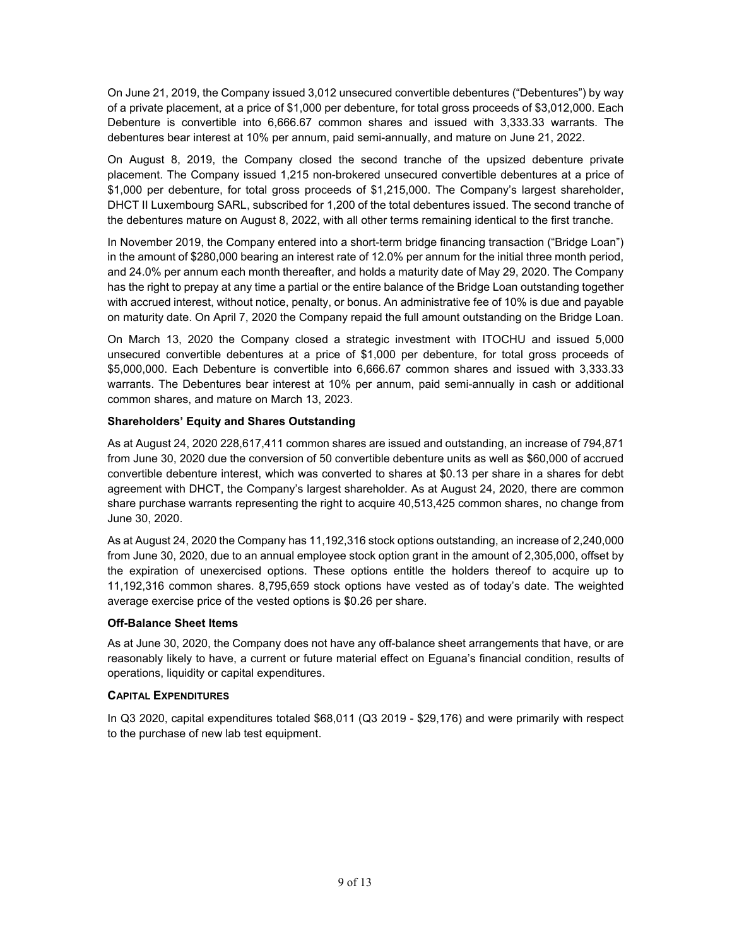On June 21, 2019, the Company issued 3,012 unsecured convertible debentures ("Debentures") by way of a private placement, at a price of \$1,000 per debenture, for total gross proceeds of \$3,012,000. Each Debenture is convertible into 6,666.67 common shares and issued with 3,333.33 warrants. The debentures bear interest at 10% per annum, paid semi-annually, and mature on June 21, 2022.

On August 8, 2019, the Company closed the second tranche of the upsized debenture private placement. The Company issued 1,215 non-brokered unsecured convertible debentures at a price of \$1,000 per debenture, for total gross proceeds of \$1,215,000. The Company's largest shareholder, DHCT II Luxembourg SARL, subscribed for 1,200 of the total debentures issued. The second tranche of the debentures mature on August 8, 2022, with all other terms remaining identical to the first tranche.

In November 2019, the Company entered into a short-term bridge financing transaction ("Bridge Loan") in the amount of \$280,000 bearing an interest rate of 12.0% per annum for the initial three month period, and 24.0% per annum each month thereafter, and holds a maturity date of May 29, 2020. The Company has the right to prepay at any time a partial or the entire balance of the Bridge Loan outstanding together with accrued interest, without notice, penalty, or bonus. An administrative fee of 10% is due and payable on maturity date. On April 7, 2020 the Company repaid the full amount outstanding on the Bridge Loan.

On March 13, 2020 the Company closed a strategic investment with ITOCHU and issued 5,000 unsecured convertible debentures at a price of \$1,000 per debenture, for total gross proceeds of \$5,000,000. Each Debenture is convertible into 6,666.67 common shares and issued with 3,333.33 warrants. The Debentures bear interest at 10% per annum, paid semi-annually in cash or additional common shares, and mature on March 13, 2023.

# **Shareholders' Equity and Shares Outstanding**

As at August 24, 2020 228,617,411 common shares are issued and outstanding, an increase of 794,871 from June 30, 2020 due the conversion of 50 convertible debenture units as well as \$60,000 of accrued convertible debenture interest, which was converted to shares at \$0.13 per share in a shares for debt agreement with DHCT, the Company's largest shareholder. As at August 24, 2020, there are common share purchase warrants representing the right to acquire 40,513,425 common shares, no change from June 30, 2020.

As at August 24, 2020 the Company has 11,192,316 stock options outstanding, an increase of 2,240,000 from June 30, 2020, due to an annual employee stock option grant in the amount of 2,305,000, offset by the expiration of unexercised options. These options entitle the holders thereof to acquire up to 11,192,316 common shares. 8,795,659 stock options have vested as of today's date. The weighted average exercise price of the vested options is \$0.26 per share.

#### **Off-Balance Sheet Items**

As at June 30, 2020, the Company does not have any off-balance sheet arrangements that have, or are reasonably likely to have, a current or future material effect on Eguana's financial condition, results of operations, liquidity or capital expenditures.

#### **CAPITAL EXPENDITURES**

In Q3 2020, capital expenditures totaled \$68,011 (Q3 2019 - \$29,176) and were primarily with respect to the purchase of new lab test equipment.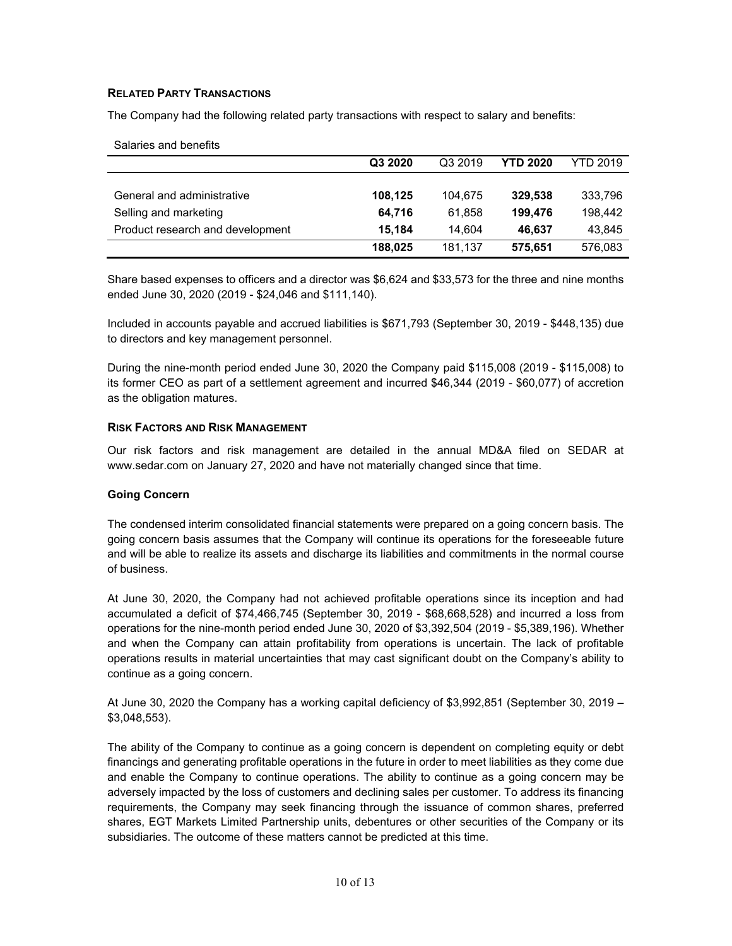# **RELATED PARTY TRANSACTIONS**

Salaries and benefits

The Company had the following related party transactions with respect to salary and benefits:

| <b>UGIQUES QUU DENEIRS</b>       |         |         |                 |                 |
|----------------------------------|---------|---------|-----------------|-----------------|
|                                  | Q3 2020 | Q3 2019 | <b>YTD 2020</b> | <b>YTD 2019</b> |
|                                  |         |         |                 |                 |
| General and administrative       | 108,125 | 104.675 | 329,538         | 333,796         |
| Selling and marketing            | 64.716  | 61.858  | 199.476         | 198.442         |
| Product research and development | 15.184  | 14.604  | 46.637          | 43,845          |
|                                  | 188,025 | 181,137 | 575,651         | 576,083         |

Share based expenses to officers and a director was \$6,624 and \$33,573 for the three and nine months ended June 30, 2020 (2019 - \$24,046 and \$111,140).

Included in accounts payable and accrued liabilities is \$671,793 (September 30, 2019 - \$448,135) due to directors and key management personnel.

During the nine-month period ended June 30, 2020 the Company paid \$115,008 (2019 - \$115,008) to its former CEO as part of a settlement agreement and incurred \$46,344 (2019 - \$60,077) of accretion as the obligation matures.

#### **RISK FACTORS AND RISK MANAGEMENT**

Our risk factors and risk management are detailed in the annual MD&A filed on SEDAR at www.sedar.com on January 27, 2020 and have not materially changed since that time.

#### **Going Concern**

The condensed interim consolidated financial statements were prepared on a going concern basis. The going concern basis assumes that the Company will continue its operations for the foreseeable future and will be able to realize its assets and discharge its liabilities and commitments in the normal course of business.

At June 30, 2020, the Company had not achieved profitable operations since its inception and had accumulated a deficit of \$74,466,745 (September 30, 2019 - \$68,668,528) and incurred a loss from operations for the nine-month period ended June 30, 2020 of \$3,392,504 (2019 - \$5,389,196). Whether and when the Company can attain profitability from operations is uncertain. The lack of profitable operations results in material uncertainties that may cast significant doubt on the Company's ability to continue as a going concern.

At June 30, 2020 the Company has a working capital deficiency of \$3,992,851 (September 30, 2019 – \$3,048,553).

The ability of the Company to continue as a going concern is dependent on completing equity or debt financings and generating profitable operations in the future in order to meet liabilities as they come due and enable the Company to continue operations. The ability to continue as a going concern may be adversely impacted by the loss of customers and declining sales per customer. To address its financing requirements, the Company may seek financing through the issuance of common shares, preferred shares, EGT Markets Limited Partnership units, debentures or other securities of the Company or its subsidiaries. The outcome of these matters cannot be predicted at this time.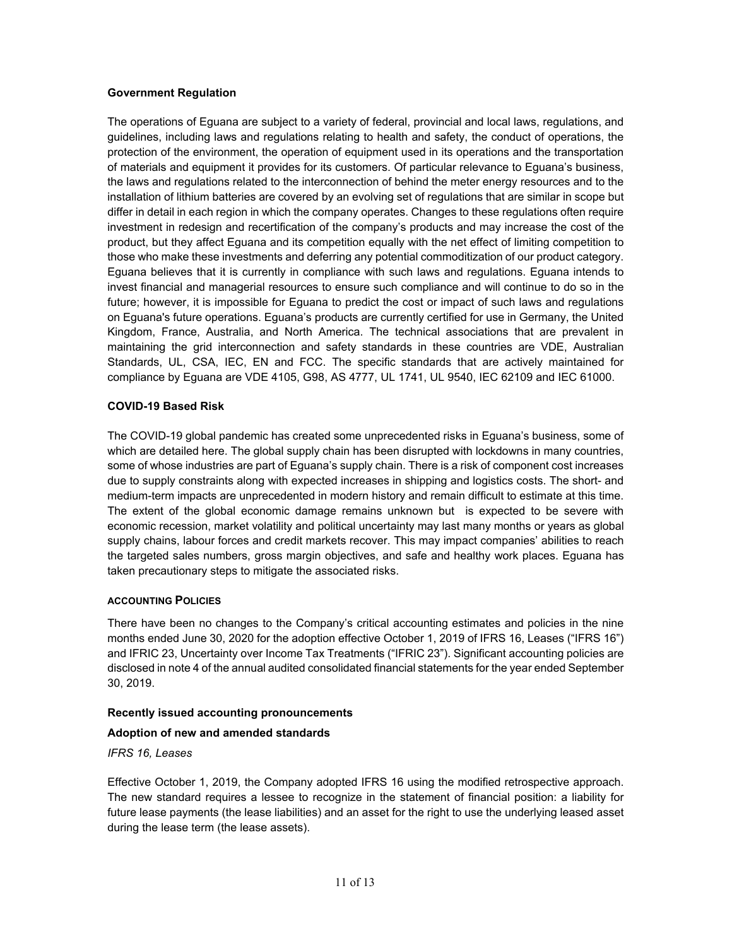## **Government Regulation**

The operations of Eguana are subject to a variety of federal, provincial and local laws, regulations, and guidelines, including laws and regulations relating to health and safety, the conduct of operations, the protection of the environment, the operation of equipment used in its operations and the transportation of materials and equipment it provides for its customers. Of particular relevance to Eguana's business, the laws and regulations related to the interconnection of behind the meter energy resources and to the installation of lithium batteries are covered by an evolving set of regulations that are similar in scope but differ in detail in each region in which the company operates. Changes to these regulations often require investment in redesign and recertification of the company's products and may increase the cost of the product, but they affect Eguana and its competition equally with the net effect of limiting competition to those who make these investments and deferring any potential commoditization of our product category. Eguana believes that it is currently in compliance with such laws and regulations. Eguana intends to invest financial and managerial resources to ensure such compliance and will continue to do so in the future; however, it is impossible for Eguana to predict the cost or impact of such laws and regulations on Eguana's future operations. Eguana's products are currently certified for use in Germany, the United Kingdom, France, Australia, and North America. The technical associations that are prevalent in maintaining the grid interconnection and safety standards in these countries are VDE, Australian Standards, UL, CSA, IEC, EN and FCC. The specific standards that are actively maintained for compliance by Eguana are VDE 4105, G98, AS 4777, UL 1741, UL 9540, IEC 62109 and IEC 61000.

#### **COVID-19 Based Risk**

The COVID-19 global pandemic has created some unprecedented risks in Eguana's business, some of which are detailed here. The global supply chain has been disrupted with lockdowns in many countries, some of whose industries are part of Eguana's supply chain. There is a risk of component cost increases due to supply constraints along with expected increases in shipping and logistics costs. The short- and medium-term impacts are unprecedented in modern history and remain difficult to estimate at this time. The extent of the global economic damage remains unknown but is expected to be severe with economic recession, market volatility and political uncertainty may last many months or years as global supply chains, labour forces and credit markets recover. This may impact companies' abilities to reach the targeted sales numbers, gross margin objectives, and safe and healthy work places. Eguana has taken precautionary steps to mitigate the associated risks.

#### **ACCOUNTING POLICIES**

There have been no changes to the Company's critical accounting estimates and policies in the nine months ended June 30, 2020 for the adoption effective October 1, 2019 of IFRS 16, Leases ("IFRS 16") and IFRIC 23, Uncertainty over Income Tax Treatments ("IFRIC 23"). Significant accounting policies are disclosed in note 4 of the annual audited consolidated financial statements for the year ended September 30, 2019.

#### **Recently issued accounting pronouncements**

# **Adoption of new and amended standards**

*IFRS 16, Leases* 

Effective October 1, 2019, the Company adopted IFRS 16 using the modified retrospective approach. The new standard requires a lessee to recognize in the statement of financial position: a liability for future lease payments (the lease liabilities) and an asset for the right to use the underlying leased asset during the lease term (the lease assets).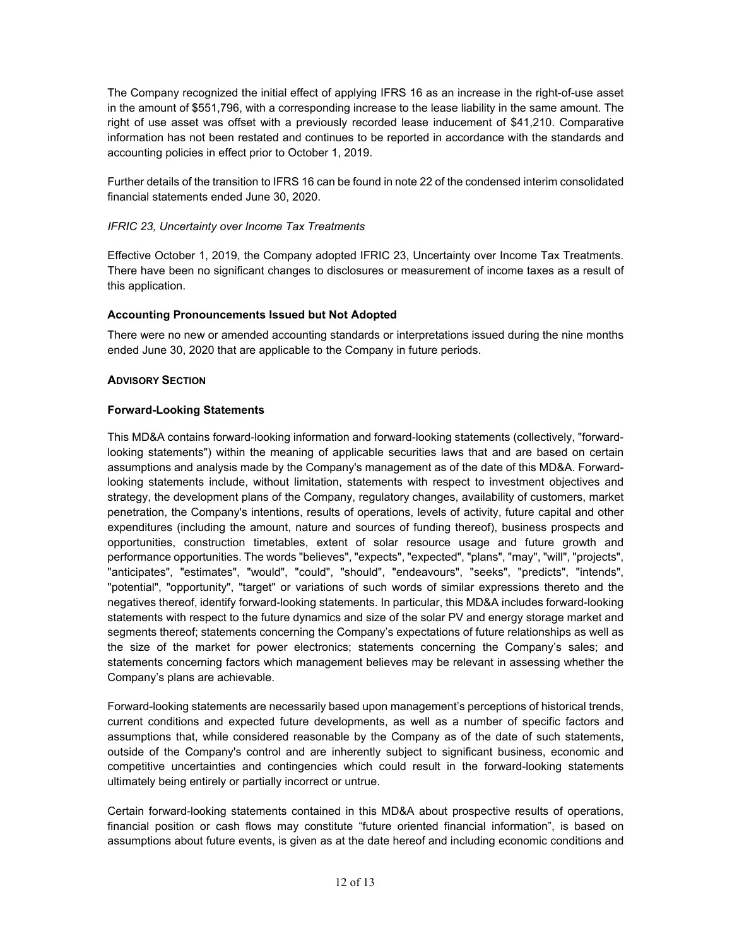The Company recognized the initial effect of applying IFRS 16 as an increase in the right-of-use asset in the amount of \$551,796, with a corresponding increase to the lease liability in the same amount. The right of use asset was offset with a previously recorded lease inducement of \$41,210. Comparative information has not been restated and continues to be reported in accordance with the standards and accounting policies in effect prior to October 1, 2019.

Further details of the transition to IFRS 16 can be found in note 22 of the condensed interim consolidated financial statements ended June 30, 2020.

# *IFRIC 23, Uncertainty over Income Tax Treatments*

Effective October 1, 2019, the Company adopted IFRIC 23, Uncertainty over Income Tax Treatments. There have been no significant changes to disclosures or measurement of income taxes as a result of this application.

## **Accounting Pronouncements Issued but Not Adopted**

There were no new or amended accounting standards or interpretations issued during the nine months ended June 30, 2020 that are applicable to the Company in future periods.

## **ADVISORY SECTION**

## **Forward-Looking Statements**

This MD&A contains forward-looking information and forward-looking statements (collectively, "forwardlooking statements") within the meaning of applicable securities laws that and are based on certain assumptions and analysis made by the Company's management as of the date of this MD&A. Forwardlooking statements include, without limitation, statements with respect to investment objectives and strategy, the development plans of the Company, regulatory changes, availability of customers, market penetration, the Company's intentions, results of operations, levels of activity, future capital and other expenditures (including the amount, nature and sources of funding thereof), business prospects and opportunities, construction timetables, extent of solar resource usage and future growth and performance opportunities. The words "believes", "expects", "expected", "plans", "may", "will", "projects", "anticipates", "estimates", "would", "could", "should", "endeavours", "seeks", "predicts", "intends", "potential", "opportunity", "target" or variations of such words of similar expressions thereto and the negatives thereof, identify forward-looking statements. In particular, this MD&A includes forward-looking statements with respect to the future dynamics and size of the solar PV and energy storage market and segments thereof; statements concerning the Company's expectations of future relationships as well as the size of the market for power electronics; statements concerning the Company's sales; and statements concerning factors which management believes may be relevant in assessing whether the Company's plans are achievable.

Forward-looking statements are necessarily based upon management's perceptions of historical trends, current conditions and expected future developments, as well as a number of specific factors and assumptions that, while considered reasonable by the Company as of the date of such statements, outside of the Company's control and are inherently subject to significant business, economic and competitive uncertainties and contingencies which could result in the forward-looking statements ultimately being entirely or partially incorrect or untrue.

Certain forward-looking statements contained in this MD&A about prospective results of operations, financial position or cash flows may constitute "future oriented financial information", is based on assumptions about future events, is given as at the date hereof and including economic conditions and